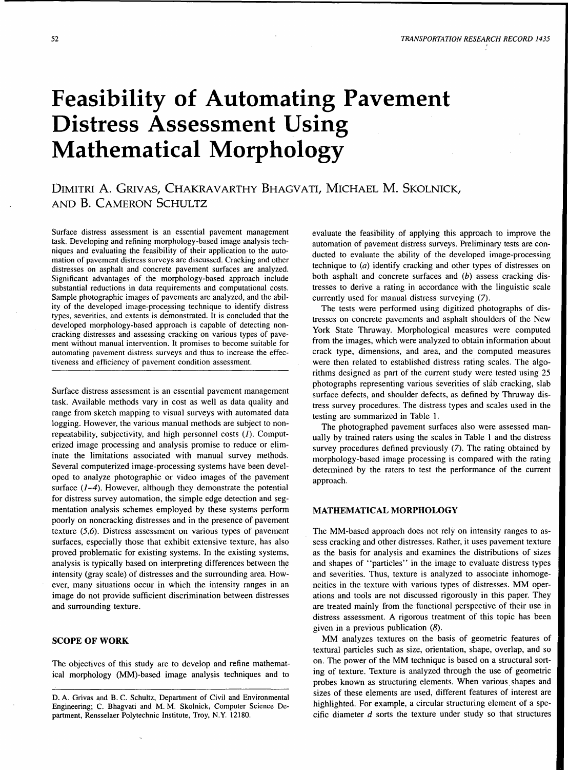# **Feasibility of Automating Pavement Distress Assessment Using Mathematical Morphology**

# DIMITRI A. GRIVAS, CHAKRAVARTHY BHAGVATI, MICHAEL **M.** SKOLNICK, AND **B.** CAMERON SCHULTZ

Surface distress assessment is an essential pavement management task. Developing and refining morphology-based image analysis techniques and evaluating the feasibility of their application to the automation of pavement distress surveys are discussed. Cracking and other distresses on asphalt and concrete pavement surfaces are analyzed. Significant advantages of the morphology-based approach include substantial reductions in data requirements and computational costs. Sample photographic images of pavements are analyzed, and the ability of the developed image-processing technique to identify distress types, severities, and extents is demonstrated. It is concluded that the developed morphology-based approach is capable of detecting noncracking distresses and assessing cracking on various types of pavement without manual intervention. It promises to become suitable for automating pavement distress surveys and thus to increase the effectiveness and efficiency of pavement condition assessment.

Surface distress assessment is an essential pavement management task. Available methods vary in cost as well as data quality and range from sketch mapping to visual surveys with automated data logging. However, the various manual methods are subject to nonrepeatability, subjectivity, and high personnel costs (J). Computerized image processing and analysis promise to reduce or eliminate the limitations associated with manual survey methods. Several computerized image-processing systems have been developed to analyze photographic or video images of the pavement surface  $(1-4)$ . However, although they demonstrate the potential for distress survey automation, the simple edge detection and segmentation analysis schemes employed by these systems perform poorly on noncracking distresses and in the presence of pavement texture (5,6). Distress assessment on various types of pavement surfaces, especially those that exhibit extensive texture, has also proved problematic for existing systems. In the existing systems, analysis is typically based on interpreting differences between the intensity (gray scale) of distresses and the surrounding area. However, many situations occur in which the intensity ranges in an image do not provide sufficient discrimination between distresses and surrounding texture.

# **SCOPE OF WORK**

The objectives of this study are to develop and refine mathematical morphology (MM)-based image analysis techniques and to

evaluate the feasibility of applying this approach to improve the automation of pavement distress surveys. Preliminary tests are conducted to evaluate the ability of the developed image-processing technique to (a) identify cracking and other types of distresses on both asphalt and concrete surfaces and (b) assess cracking distresses to derive a rating in accordance with the linguistic scale currently used for manual distress surveying (7).

The tests were performed using digitized photographs of distresses on concrete pavements and asphalt shoulders of the New York State Thruway. Morphological measures were computed from the images, which were analyzed to obtain information about crack type, dimensions, and area, and the computed measures were then related to established distress rating scales. The algorithms designed as part of the current study were tested using 25 photographs representing various severities of sláb cracking, slab surface defects, and shoulder defects, as defined by Thruway distress survey procedures. The distress types and scales used in the testing are summarized in Table 1.

The photographed pavement surfaces also were assessed manually by trained raters using the scales in Table 1 and the distress survey procedures defined previously (7). The rating obtained by morphology-based image processing is compared with the rating determined by the raters to test the performance of the current approach.

# **MATHEMATICAL MORPHOLOGY**

The MM-based approach does not rely on intensity ranges to assess cracking and other distresses. Rather, it uses pavement texture as the basis for analysis and examines the distributions of sizes and shapes of "particles" in the image to evaluate distress types and severities. Thus, texture is analyzed to associate inhomogeneities in the texture with various types of distresses. MM operations and tools are not discussed rigorously in this paper. They are treated mainly from the functional perspective of their use in distress assessment. A rigorous treatment of this topic has been given in a previous publication (8).

MM analyzes textures on the basis of geometric features of textural particles such as size, orientation, shape, overlap, and so on. The power of the MM technique is based on a structural sorting of texture. Texture is analyzed through the use of geometric probes known as structuring elements. When various. shapes and sizes of these elements are used, different features of interest are highlighted. For example, a circular structuring element of a specific diameter *d* sorts the texture under study so that structures

D. A. Grivas and B. C. Schultz, Department of Civil and Environmental Engineering; C. Bhagvati and M. M. Skolnick, Computer Science Department, Rensselaer Polytechnic Institute, Troy, N.Y. 12180.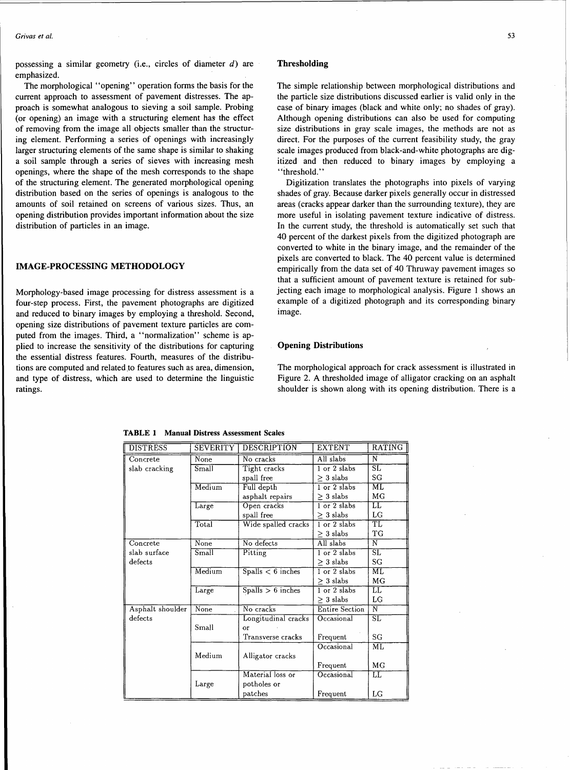possessing a similar geometry (i.e., circles of diameter  $d$ ) are emphasized.

The morphological ''opening'' operation forms the basis for the current approach to assessment of pavement distresses. The approach is somewhat analogous to sieving a soil sample. Probing (or opening) an image with a structuring element has the effect of removing from the image all objects smaller than the structuring element. Performing a series of openings with increasingly larger structuring elements of the same shape is similar to shaking a soil sample through a series of sieves with increasing mesh openings, where the shape of the mesh corresponds to the shape of the structuring element. The generated morphological opening distribution based on the series of openings is analogous to the amounts of soil retained on screens of various sizes. Thus, an opening distribution provides important information about the size distribution of particles in an image.

# **IMAGE-PROCESSING METHODOLOGY**

Morphology-based image processing for distress assessment is a four-step process. First, the pavement photographs are digitized and reduced to binary images by employing a threshold. Second, opening size distributions of pavement texture particles are computed from the images. Third, a "normalization" scheme is applied to increase the sensitivity of the distributions for capturing the essential distress features. Fourth, measures of the distributions are computed and related to features such as area, dimension, and type of distress, which are used to determine the linguistic ratings.

# **Thresholding**

The simple relationship between morphological distributions and the particle size distributions discussed earlier is valid only in the case of binary images (black and white only; no shades of gray). Although opening distributions can also be used for computing size distributions in gray scale images, the methods are not as direct. For the purposes of the current feasibility study, the gray scale images produced from black-and-white photographs are digitized and then reduced to binary images by employing a ''threshold.''

Digitization translates the photographs into pixels of varying shades of gray. Because darker pixels generally occur in distressed areas (cracks appear darker than the surrounding texture), they are more useful in isolating pavement texture indicative of distress. In the current study, the threshold is automatically set such that 40 percent of the darkest pixels from the digitized photograph are converted to white in the binary image, and the remainder of the pixels are converted to black. The 40 percent value is determined empirically from the data set of 40 Thruway pavement images so that a sufficient amount of pavement texture is retained for subjecting each image to morphological analysis. Figure 1 shows an example of a digitized photograph and its corresponding binary image.

#### **Opening Distributions**

The morphological approach for crack assessment is illustrated in Figure 2. A thresholded image of alligator cracking on an asphalt shoulder is shown along with its opening distribution. There is a

| <b>DISTRESS</b>  | <b>SEVERITY</b> | <b>DESCRIPTION</b>  | <b>EXTENT</b>    | RATING                 |
|------------------|-----------------|---------------------|------------------|------------------------|
| Concrete         | None            | No cracks           | All slabs        | Ñ                      |
| slab cracking    | Small           | Tight cracks        | $1$ or $2$ slabs | $\overline{\text{SL}}$ |
|                  |                 | spall free          | $>$ 3 slabs      | SG                     |
|                  | Medium          | Full depth          | $1$ or $2$ slabs | ML                     |
|                  |                 | asphalt repairs     | $\geq 3$ slabs   | MG                     |
|                  | Large           | Open cracks         | $1$ or $2$ slabs | $_{\rm LL}$            |
|                  |                 | spall free          | $>$ 3 slabs      | LG                     |
|                  | Total           | Wide spalled cracks | $1$ or $2$ slabs | $\overline{\text{TL}}$ |
|                  |                 |                     | $\geq 3$ slabs   | TG                     |
| Concrete         | None            | No defects          | All slabs        | $\overline{N}$         |
| slab surface     | Small           | Pitting             | $1$ or $2$ slabs | $\overline{\text{SL}}$ |
| defects          |                 |                     | $>$ 3 slabs      | SG                     |
|                  | Medium          | $Spalls < 6$ inches | 1 or 2 slabs     | МL                     |
|                  |                 |                     | $>$ 3 slabs      | MG                     |
|                  | Large           | $Spalls > 6$ inches | $1$ or $2$ slabs | $_{\rm LL}$            |
|                  |                 |                     | $>$ 3 slabs      | LG                     |
| Asphalt shoulder | None            | No cracks           | Entire Section   | $\overline{\text{N}}$  |
| defects          |                 | Longitudinal cracks | Occasional       | $\overline{\text{SL}}$ |
|                  | Small           | Оr                  |                  |                        |
|                  |                 | Transverse cracks   | Frequent         | SG                     |
|                  |                 |                     | Occasional       | ML                     |
|                  | Medium          | Alligator cracks    |                  |                        |
|                  |                 |                     | Frequent         | MG                     |
|                  |                 | Material loss or    | Occasional       | $_{\rm IL}$            |
|                  | Large           | potholes or         |                  |                        |
|                  |                 | patches             | Frequent         | LG                     |

**TABLE 1 Manual** Distress Assessment Scales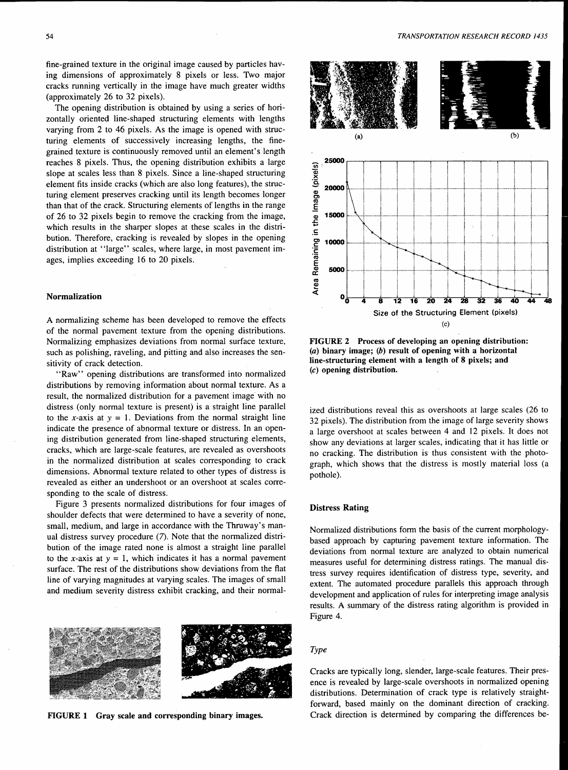The opening distribution is obtained by using a series of horizontally oriented line-shaped structuring elements with lengths varying from 2 to 46 pixels. As the image is opened with structuring elements of successively increasing lengths, the finegrained texture is continuously removed until an element's length reaches 8 pixels. Thus, the opening distribution exhibits a large slope at scales less than 8 pixels. Since a line-shaped structuring element fits inside cracks (which are also long features), the structuring element preserves cracking until its length becomes longer than that of the crack. Structuring elements of lengths in the range of 26 to 32 pixels begin to remove the cracking from the image, which results in the sharper slopes at these scales in the distribution. Therefore, cracking is revealed by slopes in the opening distribution at "large" scales, where large, in most pavement images, implies exceeding 16 to 20 pixels.

### Normalization

A normalizing scheme has been developed to remove the effects of the normal pavement texture from the opening distributions. Normalizing emphasizes deviations from normal surface texture, such as polishing, raveling, and pitting and also increases the sensitivity of crack detection.

"Raw" opening distributions are transformed into normalized distributions by removing information about normal texture. As a result, the normalized distribution for a pavement image with no distress (only normal texture is present) is a straight line parallel to the x-axis at  $y = 1$ . Deviations from the normal straight line indicate the presence of abnormal texture or distress. In an opening distribution generated from line-shaped structuring elements, cracks, which are large-scale features, are revealed as overshoots in the normalized distribution at scales corresponding to crack dimensions. Abnormal texture related to other types of distress is revealed as either an undershoot or an overshoot at scales corresponding to the scale of distress.

Figure 3 presents normalized distributions for four images of shoulder defects that were determined to have a severity of none, small, medium, and large in accordance with the Thruway's manual distress survey procedure (7). Note that the normalized distribution of the image rated none is almost a straight line parallel to the x-axis at  $y = 1$ , which indicates it has a normal pavement surface. The rest of the distributions show deviations from the flat line of varying magnitudes at varying scales. The images of small and medium severity distress exhibit cracking, and their normal-



FIGURE 1 Gray scale and corresponding binary images.



FIGURE 2 Process of developing an opening distribution: (a) binary image; (b) result of opening with a horizontal line-structuring element with a length of 8 pixels; and (c) opening distribution.

ized distributions reveal this as overshoots at large scales (26 to 32 pixels). The distribution from the image of large severity shows a large overshoot at scales between 4 and 12 pixels. It does not show any deviations at larger scales, indicating that it has little or no cracking. The distribution is thus consistent with the photograph, which shows that the distress is mostly material loss (a pothole).

# Distress Rating

Normalized distributions form the basis of the current morphologybased approach by capturing pavement texture information. The deviations from normal texture are analyzed to obtain numerical measures useful for determining distress ratings. The manual distress survey requires identification of distress type, severity, and extent. The automated procedure parallels this approach through development and application of rules for interpreting image analysis results. A summary of the distress rating algorithm is provided in Figure 4.

#### *Type*

Cracks are typically long, slender, large-scale features. Their presence is revealed by large-scale overshoots in normalized opening distributions. Determination of crack type is relatively straightforward, based mainly on the dominant direction of cracking. Crack direction is determined by comparing the differences be-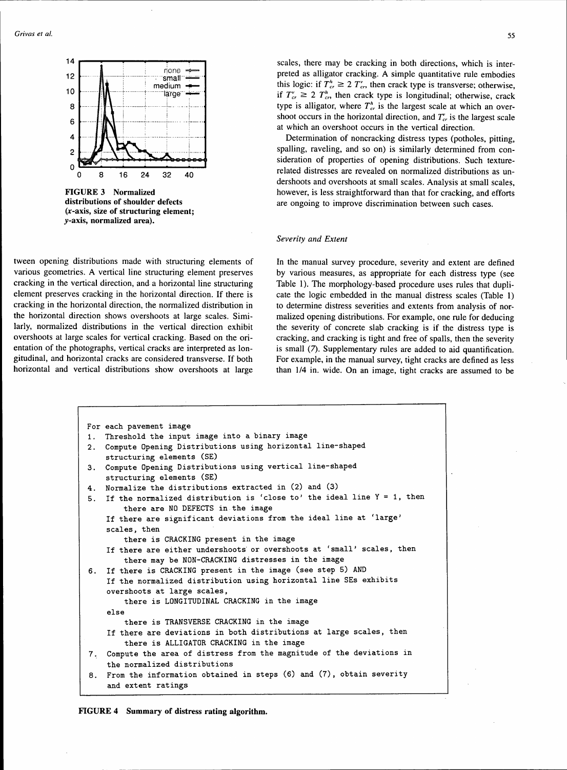

FIGURE 3 Normalized distributions of shoulder defects (x-axis, size of structuring element; y-axis, normalized area).

tween opening distributions made with structuring elements of various geometries. A vertical line structuring element preserves cracking in the vertical direction, and a horizontal line structuring element preserves cracking in the horizontal direction. If there is cracking in the horizontal direction, the normalized distribution in the horizontal direction shows overshoots at large scales. Similarly, normalized distributions in the vertical direction exhibit overshoots at large scales for vertical cracking. Based on the orientation of the photographs, vertical cracks are interpreted as longitudinal, and horizontal cracks are considered transverse. If both horizontal and vertical distributions show overshoots at large

*55* 

scales, there may be cracking in both directions, which is interpreted as alligator cracking. A simple quantitative rule embodies this logic: if  $T_{cr}^h \geq 2 T_{cr}^v$ , then crack type is transverse; otherwise, if  $T_{cr}^{\nu} \geq 2 T_{cr}^h$ , then crack type is longitudinal; otherwise, crack type is alligator, where  $T_{cr}^h$  is the largest scale at which an overshoot occurs in the horizontal direction, and  $T_{cr}$  is the largest scale at which an overshoot occurs in the vertical direction.

Determination of noncracking distress types (potholes, pitting, spalling, raveling, and so on) is similarly determined from consideration of properties of opening distributions. Such texturerelated distresses are revealed on normalized distributions as undershoots and overshoots at small scales. Analysis at small scales, however, is less straightforward than that for cracking, and efforts are ongoing to improve discrimination between such cases.

#### *Severity and Extent*

In the manual survey procedure, severity and extent are defined by various measures, as appropriate for each distress type (see Table 1). The morphology-based procedure uses rules that duplicate the logic embedded in the manual distress scales (Table 1) to determine distress severities and extents from analysis of normalized opening distributions. For example, one rule for deducing the severity of concrete slab cracking is if the distress type is cracking, and cracking is tight and free of spalls, then the severity is small (7). Supplementary rules are added to aid quantification. For example, in the manual survey, tight cracks are defined as less than 114 in. wide. On an image, tight cracks are assumed to be

|    | For each pavement image                                                       |
|----|-------------------------------------------------------------------------------|
| 1. | Threshold the input image into a binary image                                 |
| 2. | Compute Opening Distributions using horizontal line-shaped                    |
|    | structuring elements (SE)                                                     |
| 3. | Compute Opening Distributions using vertical line-shaped                      |
|    | structuring elements (SE)                                                     |
|    | 4. Normalize the distributions extracted in (2) and (3)                       |
|    | 5. If the normalized distribution is 'close to' the ideal line $Y = 1$ , then |
|    | there are NO DEFECTS in the image                                             |
|    | If there are significant deviations from the ideal line at 'large'            |
|    | scales, then                                                                  |
|    | there is CRACKING present in the image                                        |
|    | If there are either undershoots or overshoots at 'small' scales, then         |
|    | there may be NON-CRACKING distresses in the image                             |
|    | 6. If there is CRACKING present in the image (see step 5) AND                 |
|    | If the normalized distribution using horizontal line SEs exhibits             |
|    | overshoots at large scales,                                                   |
|    | there is LONGITUDINAL CRACKING in the image                                   |
|    | else                                                                          |
|    | there is TRANSVERSE CRACKING in the image                                     |
|    | If there are deviations in both distributions at large scales, then           |
|    | there is ALLIGATOR CRACKING in the image                                      |
|    | 7. Compute the area of distress from the magnitude of the deviations in       |
|    | the normalized distributions                                                  |
| 8. | From the information obtained in steps (6) and (7), obtain severity           |
|    | and extent ratings                                                            |

FIGURE 4 Summary of distress rating algorithm.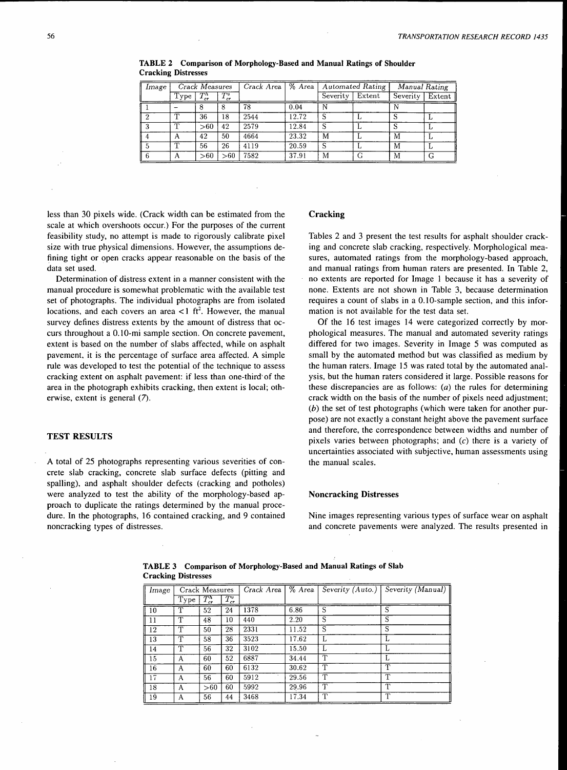| Image | Crack Measures |                      |                                           |      | Crack Area   % Area   Automated Rating |          | Manual Rating |          |        |
|-------|----------------|----------------------|-------------------------------------------|------|----------------------------------------|----------|---------------|----------|--------|
|       | Type           | T <sup>h</sup><br>cr | $\overline{T^{\mathtt{v}}_{\mathit{cr}}}$ |      |                                        | Severity | Extent        | Severity | Extent |
|       |                |                      | 8                                         | 78   | 0.04                                   | N        |               | N        |        |
|       | m              | 36                   | 18                                        | 2544 | 12.72                                  |          |               |          |        |
|       | $\sqrt{ }$     | >60                  | 42                                        | 2579 | 12.84                                  |          |               |          |        |
|       | А              | 42                   | 50                                        | 4664 | 23.32                                  | M        |               | M        |        |
|       | $\sqrt{ }$     | 56                   | 26                                        | 4119 | 20.59                                  | S        |               | M        | IJ     |
|       |                | > 60                 | >60                                       | 7582 | 37.91                                  | M        | G             | M        | G      |

TABLE 2 Comparison of Morphology-Based and Manual Ratings of Shoulder Cracking Distresses

less than 30 pixels wide. (Crack width can be estimated from the scale at which overshoots occur.) For the purposes of the current feasibility study, no attempt is made to rigorously calibrate pixel size with true physical dimensions. However, the assumptions defining tight or open cracks appear reasonable on the basis of the data set used.

Determination of distress extent in a manner consistent with the manual procedure is somewhat problematic with the available test set of photographs. The individual photographs are from isolated locations, and each covers an area  $\lt 1$  ft<sup>2</sup>. However, the manual survey defines distress extents by the amount of distress that occurs throughout a 0.10-mi sample section. On concrete pavement, extent is based on the number of slabs affected, while on asphalt pavement, it is the percentage of surface area affected. A simple rule was developed to test the potential of the technique to assess cracking extent on asphalt pavement: if less than one-third' of the area in the photograph exhibits cracking, then extent is local; otherwise, extent is general (7).

# TEST RESULTS

A total of 25 photographs representing various severities of concrete slab cracking, concrete slab surface defects (pitting and spalling), and asphalt shoulder defects (cracking and potholes) were analyzed to test the ability of the morphology-based approach to duplicate the ratings determined by the manual procedure. In the photographs, 16 contained cracking, and 9 contained noncracking types of distresses.

# **Cracking**

Tables 2 and 3 present the test results for asphalt shoulder cracking and concrete slab cracking, respectively. Morphological measures, automated ratings from the morphology-based approach, and manual ratings from human raters are presented. In Table 2, no extents are reported for Image 1 because it has a severity of none. Extents are not shown in Table 3, because determination requires a count of slabs in a 0.10-sample section, and this information is not available for the test data set.

Of the 16 test images 14 were categorized correctly by morphological measures. The manual and automated severity ratings differed for two images. Severity in Image 5 was computed as small by the automated method but was classified as medium by the human raters. Image 15 was rated total by the automated analysis, but the human raters considered it large. Possible reasons for these discrepancies are as follows:  $(a)$  the rules for determining crack width on the basis of the number of pixels need adjustment; (b) the set of test photographs (which were taken for another purpose) are not exactly a constant height above the pavement surface and therefore, the correspondence between widths and number of pixels varies between photographs; and (c) there is a variety of uncertainties associated with subjective, human assessments using the manual scales.

#### Noncracking Distresses

Nine images representing various types of surface wear on asphalt and concrete pavements were analyzed. The results presented in

| -        |                       |            |                              |            |        |                  |                   |
|----------|-----------------------|------------|------------------------------|------------|--------|------------------|-------------------|
| Image    | Crack Measures        |            |                              | Crack Area | % Area | Severity (Auto.) | Severity (Manual) |
|          | $_{\rm Type}$         | $T_{cr}^h$ | $\overline{T^{\bm{v}}_{cr}}$ |            |        |                  |                   |
| 10       |                       | 52         | 24                           | 1378       | 6.86   | S                | Š                 |
| II<br>11 | T                     | 48         | 10                           | 440        | 2.20   | S                | S                 |
| 12       | T                     | 50         | 28                           | 2331       | 11.52  | S                | S                 |
| 13       | T                     | 58         | 36                           | 3523       | 17.62  | L                | L                 |
| 14       | $\overline{\text{T}}$ | 56         | 32                           | 3102       | 15.50  | L                | L                 |
| 15       | А                     | 60         | 52                           | 6887       | 34.44  | T                | L                 |
| 16       | А                     | 60         | 60                           | 6132       | 30.62  | ፐ                | $\mathbf T$       |
| 17       | А                     | 56         | 60                           | 5912       | 29.56  | T                | T                 |
| 18       | А                     | >60        | 60                           | 5992       | 29.96  | T                | T                 |
| 19       | А                     | 56         | 44                           | 3468       | 17.34  | T                | T                 |

TABLE 3 Comparison of Morphology-Based and Manual Ratings of Slab Cracking Distresses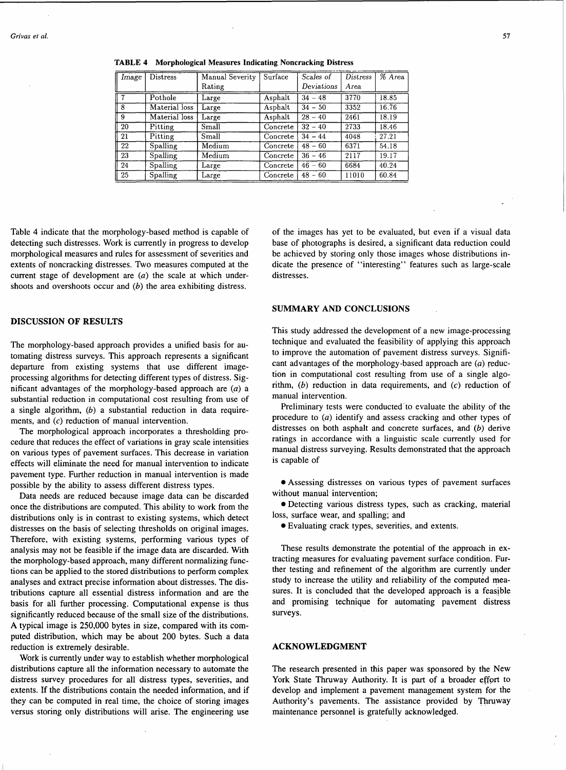| Image                       | <b>Distress</b> | Manual Severity | Surface  | $Scales$ of | <b>Distress</b> | $%$ Area |
|-----------------------------|-----------------|-----------------|----------|-------------|-----------------|----------|
|                             |                 | Rating          |          | Deviations  | Area            |          |
| $\sqrt{7}$                  | Pothole         | Large           | Asphalt  | $34 - 48$   | 3770            | 18.85    |
| $\overline{\mathbb{F}^8}$   | Material loss   | Large           | Asphalt  | $34 - 50$   | 3352            | 16.76    |
| 9                           | Material loss   | Large           | Asphalt  | $28 - 40$   | 2461            | 18.19    |
| 20                          | Pitting         | Small           | Concrete | $32 - 40$   | 2733            | 18.46    |
| $\sqrt{21}$                 | Pitting         | Small           | Concrete | $34 - 44$   | 4048            | 27.21    |
| $\mathbb{r}$ 22             | Spalling        | Medium          | Concrete | $48 - 60$   | 6371            | 54.18    |
| $\overline{\phantom{1}123}$ | Spalling        | Medium          | Concrete | $36 - 46$   | 2117            | 19.17    |
| 24                          | Spalling        | Large           | Concrete | $46 - 60$   | 6684            | 40.24    |
| 25                          | Spalling        | Large           | Concrete | $48 - 60$   | 11010           | 60.84    |

TABLE 4 Morphological Measures Indicating Noncracking Distress

Table 4 indicate that the morphology-based method is capable of detecting such distresses. Work is currently in progress to develop morphological measures and rules for assessment of severities and extents of noncracking distresses. Two measures computed at the current stage of development are  $(a)$  the scale at which undershoots and overshoots occur and  $(b)$  the area exhibiting distress.

# of the images has yet to be evaluated, but even if a visual data base of photographs is desired, a significant data reduction could be achieved by storing only those images whose distributions indicate the presence of "interesting" features such as large-scale distresses.

#### DISCUSSION OF RESULTS

The morphology-based approach provides a unified basis for automating distress surveys. This approach represents a significant departure from existing systems that use different imageprocessing algorithms for detecting different types of distress. Significant advantages of the morphology-based approach are  $(a)$  a substantial reduction in computational cost resulting from use of a single algorithm,  $(b)$  a substantial reduction in data requirements, and (c) reduction of manual intervention.

The morphological approach incorporates a thresholding procedure that reduces the effect of variations in gray scale intensities on various types of pavement surfaces. This decrease in variation effects will eliminate the need for manual intervention to indicate pavement type. Further reduction in manual intervention is made possible by the ability to assess different distress types.

Data needs are reduced because image data can be discarded once the distributions are computed. This ability to work from the distributions only is in contrast to existing systems, which detect distresses on the basis of selecting thresholds on original images. Therefore, with existing systems, performing various types of analysis may not be feasible if the image data are discarded. With the morphology-based approach, many different normalizing functions can be applied to the stored distributions to perform complex analyses and extract precise information about distresses. The distributions capture all essential distress information and are the basis for all further processing. Computational expense is thus significantly reduced because of the small size of the distributions. A typical image is 250,000 bytes in size, compared with its computed distribution, which may be about 200 bytes. Such a data reduction is extremely desirable.

Work is currently under way to establish whether morphological distributions capture all the information necessary to automate the distress survey procedures for all distress types, severities, and extents. If the distributions contain the needed information, and if they can be computed in real time, the choice of storing images versus storing only distributions will arise. The engineering use

# SUMMARY AND CONCLUSIONS

This study addressed the development of a new image-processing technique and evaluated the feasibility of applying this approach to improve the automation of pavement distress surveys. Significant advantages of the morphology-based approach are  $(a)$  reduction in computational cost resulting from use of a single algorithm,  $(b)$  reduction in data requirements, and  $(c)$  reduction of manual intervention.

Preliminary tests were conducted to evaluate the ability of the procedure to (a) identify and assess cracking and other types of distresses on both asphalt and concrete surfaces, and (b) derive ratings in accordance with a linguistic scale currently used for manual distress surveying. Results demonstrated that the approach is capable of

• Assessing distresses on various types of pavement surfaces without manual intervention;

• Detecting various distress types, such as cracking, material loss, surface wear, and spalling; and

• Evaluating crack types, severities, and extents.

These results demonstrate the potential of the approach in extracting measures for evaluating pavement surface condition. Further testing and refinement of the algorithm are currently under study to increase the utility and reliability of the computed measures. It is concluded that the developed approach is a feasible and promising technique for automating pavement distress surveys.

# ACKNOWLEDGMENT

The research presented in this paper was sponsored by the New York State Thruway Authority. It is part of a broader effort to develop and implement a pavement management system for the Authority's pavements. The assistance provided by Thruway maintenance personnel is gratefully acknowledged.